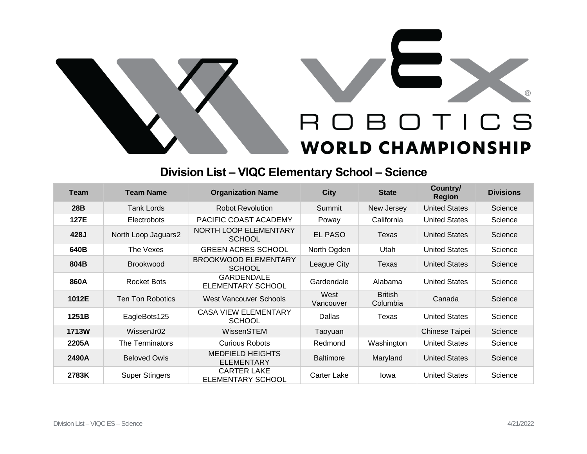

## **Division List – VIQC Elementary School – Science**

| <b>Team</b>  | <b>Team Name</b>        | <b>Organization Name</b>                      | <b>City</b>       | <b>State</b>               | Country/<br><b>Region</b> | <b>Divisions</b> |
|--------------|-------------------------|-----------------------------------------------|-------------------|----------------------------|---------------------------|------------------|
| 28B          | Tank Lords              | <b>Robot Revolution</b>                       | Summit            | New Jersey                 | <b>United States</b>      | Science          |
| 127E         | <b>Electrobots</b>      | PACIFIC COAST ACADEMY                         | Poway             | California                 | <b>United States</b>      | Science          |
| 428J         | North Loop Jaguars2     | <b>NORTH LOOP ELEMENTARY</b><br><b>SCHOOL</b> | <b>EL PASO</b>    | Texas                      | <b>United States</b>      | Science          |
| 640B         | The Vexes               | <b>GREEN ACRES SCHOOL</b>                     | North Ogden       | Utah                       | <b>United States</b>      | Science          |
| 804B         | <b>Brookwood</b>        | <b>BROOKWOOD ELEMENTARY</b><br><b>SCHOOL</b>  | League City       | Texas                      | <b>United States</b>      | Science          |
| 860A         | Rocket Bots             | <b>GARDENDALE</b><br><b>ELEMENTARY SCHOOL</b> | Gardendale        | Alabama                    | <b>United States</b>      | Science          |
| 1012E        | <b>Ten Ton Robotics</b> | <b>West Vancouver Schools</b>                 | West<br>Vancouver | <b>British</b><br>Columbia | Canada                    | Science          |
| 1251B        | EagleBots125            | <b>CASA VIEW ELEMENTARY</b><br><b>SCHOOL</b>  | Dallas            | Texas                      | <b>United States</b>      | Science          |
| <b>1713W</b> | WissenJr02              | WissenSTEM                                    | Taoyuan           |                            | Chinese Taipei            | Science          |
| 2205A        | The Terminators         | <b>Curious Robots</b>                         | Redmond           | Washington                 | <b>United States</b>      | Science          |
| 2490A        | <b>Beloved Owls</b>     | <b>MEDFIELD HEIGHTS</b><br><b>ELEMENTARY</b>  | <b>Baltimore</b>  | Maryland                   | <b>United States</b>      | Science          |
| 2783K        | <b>Super Stingers</b>   | <b>CARTER LAKE</b><br>ELEMENTARY SCHOOL       | Carter Lake       | Iowa                       | <b>United States</b>      | Science          |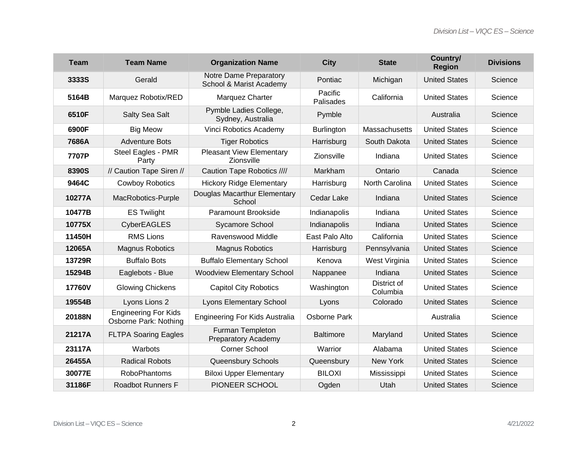| <b>Team</b> | <b>Team Name</b>                                     | <b>Organization Name</b>                          | <b>City</b>          | <b>State</b>            | Country/<br><b>Region</b> | <b>Divisions</b> |
|-------------|------------------------------------------------------|---------------------------------------------------|----------------------|-------------------------|---------------------------|------------------|
| 3333S       | Gerald                                               | Notre Dame Preparatory<br>School & Marist Academy | Pontiac              | Michigan                | <b>United States</b>      | Science          |
| 5164B       | Marquez Robotix/RED                                  | Marquez Charter                                   | Pacific<br>Palisades | California              | <b>United States</b>      | Science          |
| 6510F       | Salty Sea Salt                                       | Pymble Ladies College,<br>Sydney, Australia       | Pymble               |                         | Australia                 | Science          |
| 6900F       | <b>Big Meow</b>                                      | Vinci Robotics Academy                            | Burlington           | Massachusetts           | <b>United States</b>      | Science          |
| 7686A       | <b>Adventure Bots</b>                                | <b>Tiger Robotics</b>                             | Harrisburg           | South Dakota            | <b>United States</b>      | Science          |
| 7707P       | Steel Eagles - PMR<br>Party                          | <b>Pleasant View Elementary</b><br>Zionsville     | Zionsville           | Indiana                 | <b>United States</b>      | Science          |
| 8390S       | // Caution Tape Siren //                             | Caution Tape Robotics ////                        | Markham              | Ontario                 | Canada                    | Science          |
| 9464C       | <b>Cowboy Robotics</b>                               | <b>Hickory Ridge Elementary</b>                   | Harrisburg           | North Carolina          | <b>United States</b>      | Science          |
| 10277A      | MacRobotics-Purple                                   | Douglas Macarthur Elementary<br>School            | Cedar Lake           | Indiana                 | <b>United States</b>      | Science          |
| 10477B      | <b>ES Twilight</b>                                   | Paramount Brookside                               | Indianapolis         | Indiana                 | <b>United States</b>      | Science          |
| 10775X      | <b>CyberEAGLES</b>                                   | Sycamore School                                   | Indianapolis         | Indiana                 | <b>United States</b>      | Science          |
| 11450H      | <b>RMS Lions</b>                                     | Ravenswood Middle                                 | East Palo Alto       | California              | <b>United States</b>      | Science          |
| 12065A      | <b>Magnus Robotics</b>                               | <b>Magnus Robotics</b>                            | Harrisburg           | Pennsylvania            | <b>United States</b>      | Science          |
| 13729R      | <b>Buffalo Bots</b>                                  | <b>Buffalo Elementary School</b>                  | Kenova               | West Virginia           | <b>United States</b>      | Science          |
| 15294B      | Eaglebots - Blue                                     | <b>Woodview Elementary School</b>                 | Nappanee             | Indiana                 | <b>United States</b>      | Science          |
| 17760V      | <b>Glowing Chickens</b>                              | <b>Capitol City Robotics</b>                      | Washington           | District of<br>Columbia | <b>United States</b>      | Science          |
| 19554B      | Lyons Lions 2                                        | <b>Lyons Elementary School</b>                    | Lyons                | Colorado                | <b>United States</b>      | Science          |
| 20188N      | <b>Engineering For Kids</b><br>Osborne Park: Nothing | Engineering For Kids Australia                    | Osborne Park         |                         | Australia                 | Science          |
| 21217A      | <b>FLTPA Soaring Eagles</b>                          | Furman Templeton<br><b>Preparatory Academy</b>    | <b>Baltimore</b>     | Maryland                | <b>United States</b>      | Science          |
| 23117A      | Warbots                                              | <b>Corner School</b>                              | Warrior              | Alabama                 | <b>United States</b>      | Science          |
| 26455A      | <b>Radical Robots</b>                                | Queensbury Schools                                | Queensbury           | New York                | <b>United States</b>      | Science          |
| 30077E      | <b>RoboPhantoms</b>                                  | <b>Biloxi Upper Elementary</b>                    | <b>BILOXI</b>        | Mississippi             | <b>United States</b>      | Science          |
| 31186F      | <b>Roadbot Runners F</b>                             | PIONEER SCHOOL                                    | Ogden                | Utah                    | <b>United States</b>      | Science          |